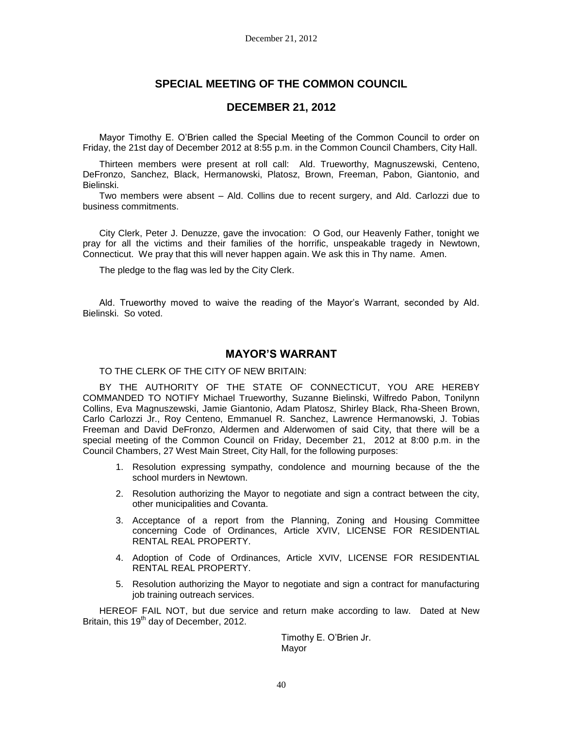# **SPECIAL MEETING OF THE COMMON COUNCIL**

# **DECEMBER 21, 2012**

Mayor Timothy E. O'Brien called the Special Meeting of the Common Council to order on Friday, the 21st day of December 2012 at 8:55 p.m. in the Common Council Chambers, City Hall.

Thirteen members were present at roll call: Ald. Trueworthy, Magnuszewski, Centeno, DeFronzo, Sanchez, Black, Hermanowski, Platosz, Brown, Freeman, Pabon, Giantonio, and Bielinski.

Two members were absent – Ald. Collins due to recent surgery, and Ald. Carlozzi due to business commitments.

City Clerk, Peter J. Denuzze, gave the invocation: O God, our Heavenly Father, tonight we pray for all the victims and their families of the horrific, unspeakable tragedy in Newtown, Connecticut. We pray that this will never happen again. We ask this in Thy name. Amen.

The pledge to the flag was led by the City Clerk.

Ald. Trueworthy moved to waive the reading of the Mayor's Warrant, seconded by Ald. Bielinski. So voted.

# **MAYOR'S WARRANT**

### TO THE CLERK OF THE CITY OF NEW BRITAIN:

BY THE AUTHORITY OF THE STATE OF CONNECTICUT, YOU ARE HEREBY COMMANDED TO NOTIFY Michael Trueworthy, Suzanne Bielinski, Wilfredo Pabon, Tonilynn Collins, Eva Magnuszewski, Jamie Giantonio, Adam Platosz, Shirley Black, Rha-Sheen Brown, Carlo Carlozzi Jr., Roy Centeno, Emmanuel R. Sanchez, Lawrence Hermanowski, J. Tobias Freeman and David DeFronzo, Aldermen and Alderwomen of said City, that there will be a special meeting of the Common Council on Friday, December 21, 2012 at 8:00 p.m. in the Council Chambers, 27 West Main Street, City Hall, for the following purposes:

- 1. Resolution expressing sympathy, condolence and mourning because of the the school murders in Newtown.
- 2. Resolution authorizing the Mayor to negotiate and sign a contract between the city, other municipalities and Covanta.
- 3. Acceptance of a report from the Planning, Zoning and Housing Committee concerning Code of Ordinances, Article XVIV, LICENSE FOR RESIDENTIAL RENTAL REAL PROPERTY.
- 4. Adoption of Code of Ordinances, Article XVIV, LICENSE FOR RESIDENTIAL RENTAL REAL PROPERTY.
- 5. Resolution authorizing the Mayor to negotiate and sign a contract for manufacturing job training outreach services.

HEREOF FAIL NOT, but due service and return make according to law. Dated at New Britain, this 19<sup>th</sup> day of December, 2012.

> Timothy E. O'Brien Jr. Mayor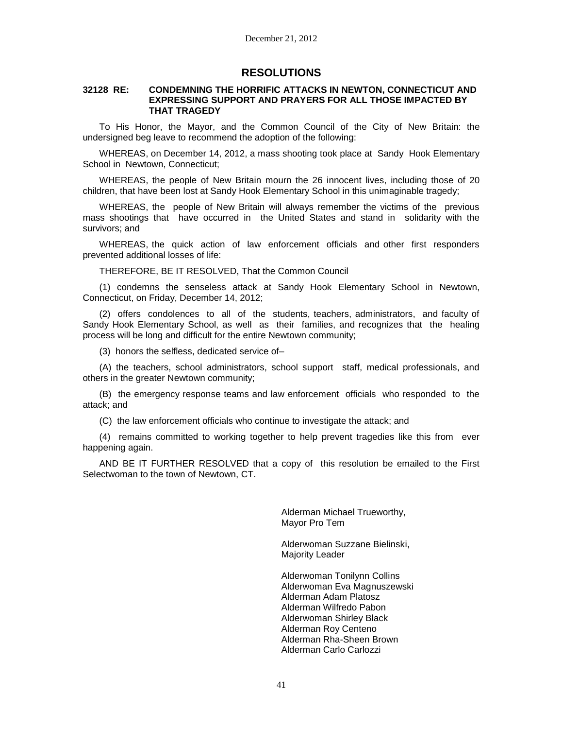# **RESOLUTIONS**

#### **32128 RE: CONDEMNING THE HORRIFIC ATTACKS IN NEWTON, CONNECTICUT AND EXPRESSING SUPPORT AND PRAYERS FOR ALL THOSE IMPACTED BY THAT TRAGEDY**

To His Honor, the Mayor, and the Common Council of the City of New Britain: the undersigned beg leave to recommend the adoption of the following:

WHEREAS, on December 14, 2012, a mass shooting took place at Sandy Hook Elementary School in Newtown, Connecticut;

WHEREAS, the people of New Britain mourn the 26 innocent lives, including those of 20 children, that have been lost at Sandy Hook Elementary School in this unimaginable tragedy;

WHEREAS, the people of New Britain will always remember the victims of the previous mass shootings that have occurred in the United States and stand in solidarity with the survivors; and

WHEREAS, the quick action of law enforcement officials and other first responders prevented additional losses of life:

THEREFORE, BE IT RESOLVED, That the Common Council

(1) condemns the senseless attack at Sandy Hook Elementary School in Newtown, Connecticut, on Friday, December 14, 2012;

(2) offers condolences to all of the students, teachers, administrators, and faculty of Sandy Hook Elementary School, as well as their families, and recognizes that the healing process will be long and difficult for the entire Newtown community;

(3) honors the selfless, dedicated service of–

(A) the teachers, school administrators, school support staff, medical professionals, and others in the greater Newtown community;

(B) the emergency response teams and law enforcement officials who responded to the attack; and

(C) the law enforcement officials who continue to investigate the attack; and

(4) remains committed to working together to help prevent tragedies like this from ever happening again.

AND BE IT FURTHER RESOLVED that a copy of this resolution be emailed to the First Selectwoman to the town of Newtown, CT.

> Alderman Michael Trueworthy, Mayor Pro Tem

Alderwoman Suzzane Bielinski, Majority Leader

Alderwoman Tonilynn Collins Alderwoman Eva Magnuszewski Alderman Adam Platosz Alderman Wilfredo Pabon Alderwoman Shirley Black Alderman Roy Centeno Alderman Rha-Sheen Brown Alderman Carlo Carlozzi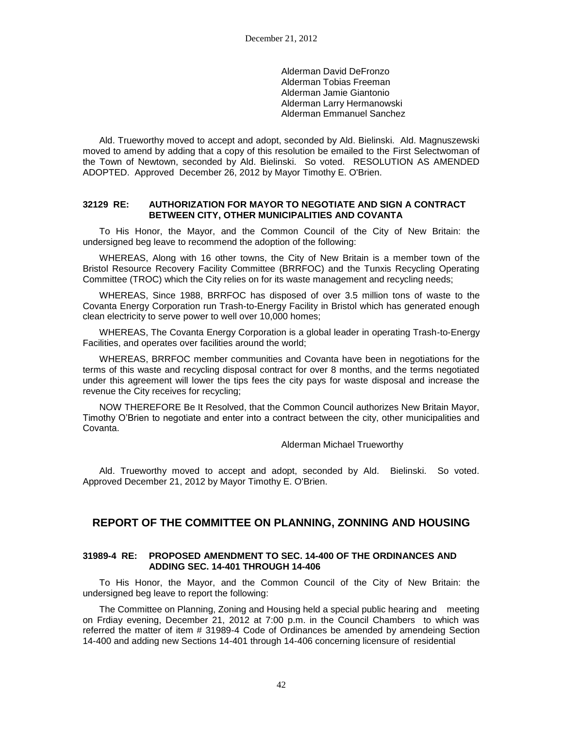Alderman David DeFronzo Alderman Tobias Freeman Alderman Jamie Giantonio Alderman Larry Hermanowski Alderman Emmanuel Sanchez

Ald. Trueworthy moved to accept and adopt, seconded by Ald. Bielinski. Ald. Magnuszewski moved to amend by adding that a copy of this resolution be emailed to the First Selectwoman of the Town of Newtown, seconded by Ald. Bielinski. So voted. RESOLUTION AS AMENDED ADOPTED. Approved December 26, 2012 by Mayor Timothy E. O'Brien.

### **32129 RE: AUTHORIZATION FOR MAYOR TO NEGOTIATE AND SIGN A CONTRACT BETWEEN CITY, OTHER MUNICIPALITIES AND COVANTA**

To His Honor, the Mayor, and the Common Council of the City of New Britain: the undersigned beg leave to recommend the adoption of the following:

WHEREAS, Along with 16 other towns, the City of New Britain is a member town of the Bristol Resource Recovery Facility Committee (BRRFOC) and the Tunxis Recycling Operating Committee (TROC) which the City relies on for its waste management and recycling needs;

WHEREAS, Since 1988, BRRFOC has disposed of over 3.5 million tons of waste to the Covanta Energy Corporation run Trash-to-Energy Facility in Bristol which has generated enough clean electricity to serve power to well over 10,000 homes;

WHEREAS, The Covanta Energy Corporation is a global leader in operating Trash-to-Energy Facilities, and operates over facilities around the world;

WHEREAS, BRRFOC member communities and Covanta have been in negotiations for the terms of this waste and recycling disposal contract for over 8 months, and the terms negotiated under this agreement will lower the tips fees the city pays for waste disposal and increase the revenue the City receives for recycling;

NOW THEREFORE Be It Resolved, that the Common Council authorizes New Britain Mayor, Timothy O'Brien to negotiate and enter into a contract between the city, other municipalities and Covanta.

Alderman Michael Trueworthy

Ald. Trueworthy moved to accept and adopt, seconded by Ald. Bielinski. So voted. Approved December 21, 2012 by Mayor Timothy E. O'Brien.

# **REPORT OF THE COMMITTEE ON PLANNING, ZONNING AND HOUSING**

### **31989-4 RE: PROPOSED AMENDMENT TO SEC. 14-400 OF THE ORDINANCES AND ADDING SEC. 14-401 THROUGH 14-406**

To His Honor, the Mayor, and the Common Council of the City of New Britain: the undersigned beg leave to report the following:

The Committee on Planning, Zoning and Housing held a special public hearing and meeting on Frdiay evening, December 21, 2012 at 7:00 p.m. in the Council Chambers to which was referred the matter of item # 31989-4 Code of Ordinances be amended by amendeing Section 14-400 and adding new Sections 14-401 through 14-406 concerning licensure of residential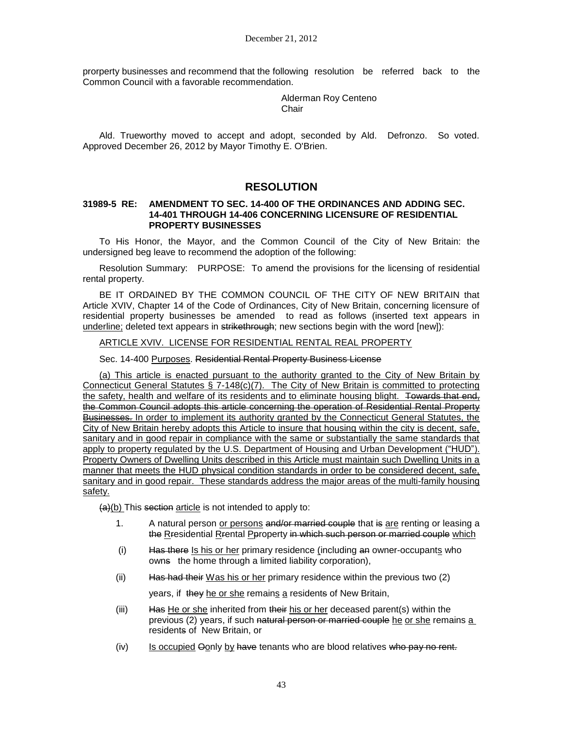prorperty businesses and recommend that the following resolution be referred back to the Common Council with a favorable recommendation.

> Alderman Roy Centeno Chair

Ald. Trueworthy moved to accept and adopt, seconded by Ald. Defronzo. So voted. Approved December 26, 2012 by Mayor Timothy E. O'Brien.

# **RESOLUTION**

### **31989-5 RE: AMENDMENT TO SEC. 14-400 OF THE ORDINANCES AND ADDING SEC. 14-401 THROUGH 14-406 CONCERNING LICENSURE OF RESIDENTIAL PROPERTY BUSINESSES**

To His Honor, the Mayor, and the Common Council of the City of New Britain: the undersigned beg leave to recommend the adoption of the following:

Resolution Summary: PURPOSE: To amend the provisions for the licensing of residential rental property.

BE IT ORDAINED BY THE COMMON COUNCIL OF THE CITY OF NEW BRITAIN that Article XVIV, Chapter 14 of the Code of Ordinances, City of New Britain, concerning licensure of residential property businesses be amended to read as follows (inserted text appears in underline; deleted text appears in strikethrough; new sections begin with the word [new]):

## ARTICLE XVIV. LICENSE FOR RESIDENTIAL RENTAL REAL PROPERTY

Sec. 14-400 Purposes. Residential Rental Property Business License

(a) This article is enacted pursuant to the authority granted to the City of New Britain by Connecticut General Statutes § 7-148(c)(7). The City of New Britain is committed to protecting the safety, health and welfare of its residents and to eliminate housing blight. Towards that end, the Common Council adopts this article concerning the operation of Residential Rental Property Businesses. In order to implement its authority granted by the Connecticut General Statutes, the City of New Britain hereby adopts this Article to insure that housing within the city is decent, safe, sanitary and in good repair in compliance with the same or substantially the same standards that apply to property regulated by the U.S. Department of Housing and Urban Development ("HUD"). Property Owners of Dwelling Units described in this Article must maintain such Dwelling Units in a manner that meets the HUD physical condition standards in order to be considered decent, safe, sanitary and in good repair. These standards address the major areas of the multi-family housing safety.

 $(a)(b)$  This section article is not intended to apply to:

- 1. A natural person or persons and/or married couple that is are renting or leasing a the Rresidential Rrental Peroperty in which such person or married couple which
- $(i)$  Has there Is his or her primary residence (including an owner-occupants who owns the home through a limited liability corporation),
- (ii) Has had their Was his or her primary residence within the previous two (2)

years, if they he or she remains a residents of New Britain,

- (iii) Has He or she inherited from their his or her deceased parent(s) within the previous (2) years, if such natural person or married couple he or she remains a residents of New Britain, or
- $(iv)$  Is occupied  $\Theta$ only by have tenants who are blood relatives who pay no rent.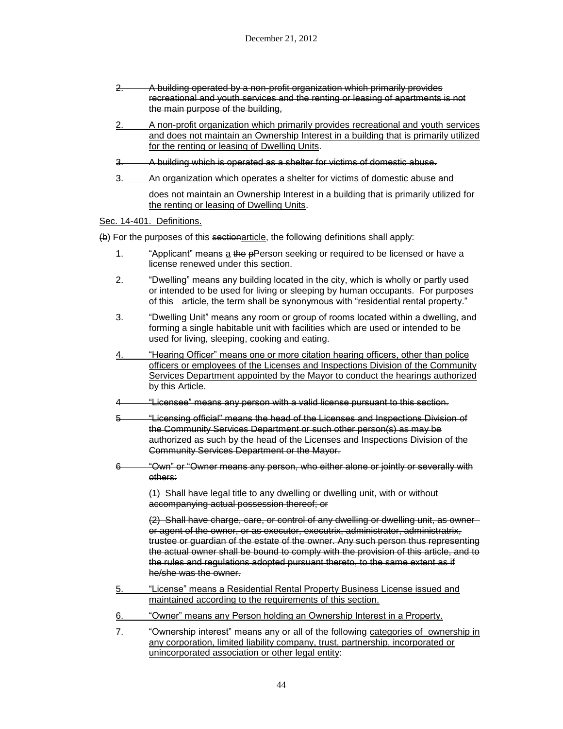- 2. A building operated by a non-profit organization which primarily provides recreational and youth services and the renting or leasing of apartments is not the main purpose of the building,
- 2. A non-profit organization which primarily provides recreational and youth services and does not maintain an Ownership Interest in a building that is primarily utilized for the renting or leasing of Dwelling Units.
- 3. A building which is operated as a shelter for victims of domestic abuse.
- 3. An organization which operates a shelter for victims of domestic abuse and does not maintain an Ownership Interest in a building that is primarily utilized for

Sec. 14-401. Definitions.

(b) For the purposes of this sectionarticle, the following definitions shall apply:

the renting or leasing of Dwelling Units.

- 1. "Applicant" means a the pPerson seeking or required to be licensed or have a license renewed under this section.
- 2. "Dwelling" means any building located in the city, which is wholly or partly used or intended to be used for living or sleeping by human occupants. For purposes of this article, the term shall be synonymous with "residential rental property."
- 3. "Dwelling Unit" means any room or group of rooms located within a dwelling, and forming a single habitable unit with facilities which are used or intended to be used for living, sleeping, cooking and eating.
- 4. "Hearing Officer" means one or more citation hearing officers, other than police officers or employees of the Licenses and Inspections Division of the Community Services Department appointed by the Mayor to conduct the hearings authorized by this Article.
- 4 "Licensee" means any person with a valid license pursuant to this section.
- 5 "Licensing official" means the head of the Licenses and Inspections Division of the Community Services Department or such other person(s) as may be authorized as such by the head of the Licenses and Inspections Division of the Community Services Department or the Mayor.
- 6 "Own" or "Owner means any person, who either alone or jointly or severally with others:

(1) Shall have legal title to any dwelling or dwelling unit, with or without accompanying actual possession thereof; or

(2) Shall have charge, care, or control of any dwelling or dwelling unit, as owner or agent of the owner, or as executor, executrix, administrator, administratrix, trustee or guardian of the estate of the owner. Any such person thus representing the actual owner shall be bound to comply with the provision of this article, and to the rules and regulations adopted pursuant thereto, to the same extent as if he/she was the owner.

- 5. "License" means a Residential Rental Property Business License issued and maintained according to the requirements of this section.
- 6. "Owner" means any Person holding an Ownership Interest in a Property.
- 7. "Ownership interest" means any or all of the following categories of ownership in any corporation, limited liability company, trust, partnership, incorporated or unincorporated association or other legal entity: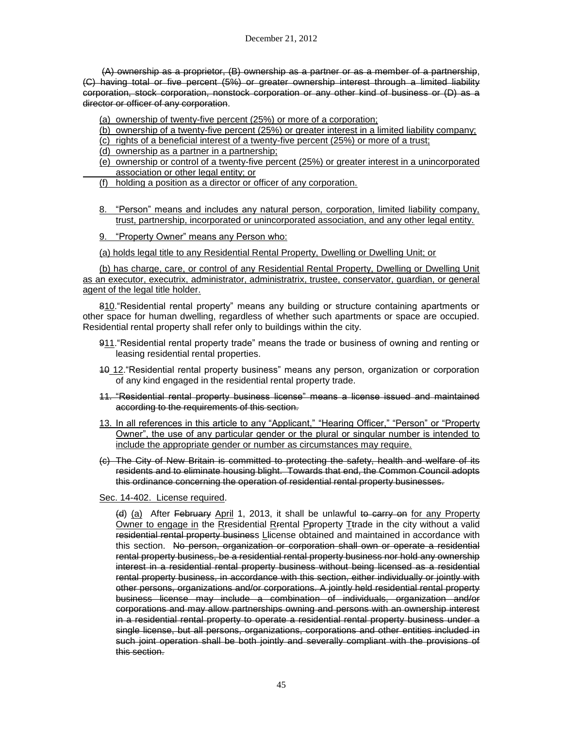(A) ownership as a proprietor, (B) ownership as a partner or as a member of a partnership, (C) having total or five percent (5%) or greater ownership interest through a limited liability corporation, stock corporation, nonstock corporation or any other kind of business or (D) as a director or officer of any corporation.

(a) ownership of twenty-five percent (25%) or more of a corporation;

- (b) ownership of a twenty-five percent (25%) or greater interest in a limited liability company;
- (c) rights of a beneficial interest of a twenty-five percent (25%) or more of a trust;
- (d) ownership as a partner in a partnership;
- (e) ownership or control of a twenty-five percent (25%) or greater interest in a unincorporated association or other legal entity; or
- (f) holding a position as a director or officer of any corporation.
- 8. "Person" means and includes any natural person, corporation, limited liability company, trust, partnership, incorporated or unincorporated association, and any other legal entity.
- 9. "Property Owner" means any Person who:

(a) holds legal title to any Residential Rental Property, Dwelling or Dwelling Unit; or

(b) has charge, care, or control of any Residential Rental Property, Dwelling or Dwelling Unit as an executor, executrix, administrator, administratrix, trustee, conservator, guardian, or general agent of the legal title holder.

810."Residential rental property" means any building or structure containing apartments or other space for human dwelling, regardless of whether such apartments or space are occupied. Residential rental property shall refer only to buildings within the city.

- 911. "Residential rental property trade" means the trade or business of owning and renting or leasing residential rental properties.
- 10 12."Residential rental property business" means any person, organization or corporation of any kind engaged in the residential rental property trade.
- 11. "Residential rental property business license" means a license issued and maintained according to the requirements of this section.
- 13. In all references in this article to any "Applicant," "Hearing Officer," "Person" or "Property Owner", the use of any particular gender or the plural or singular number is intended to include the appropriate gender or number as circumstances may require.
- (c) The City of New Britain is committed to protecting the safety, health and welfare of its residents and to eliminate housing blight. Towards that end, the Common Council adopts this ordinance concerning the operation of residential rental property businesses.

Sec. 14-402. License required.

(d) (a) After February April 1, 2013, it shall be unlawful to carry on for any Property Owner to engage in the Rresidential Rrental Pproperty Ttrade in the city without a valid residential rental property business Llicense obtained and maintained in accordance with this section. No person, organization or corporation shall own or operate a residential rental property business, be a residential rental property business nor hold any ownership interest in a residential rental property business without being licensed as a residential rental property business, in accordance with this section, either individually or jointly with other persons, organizations and/or corporations. A jointly held residential rental property business license may include a combination of individuals, organization and/or corporations and may allow partnerships owning and persons with an ownership interest in a residential rental property to operate a residential rental property business under a single license, but all persons, organizations, corporations and other entities included in such joint operation shall be both jointly and severally compliant with the provisions of this section.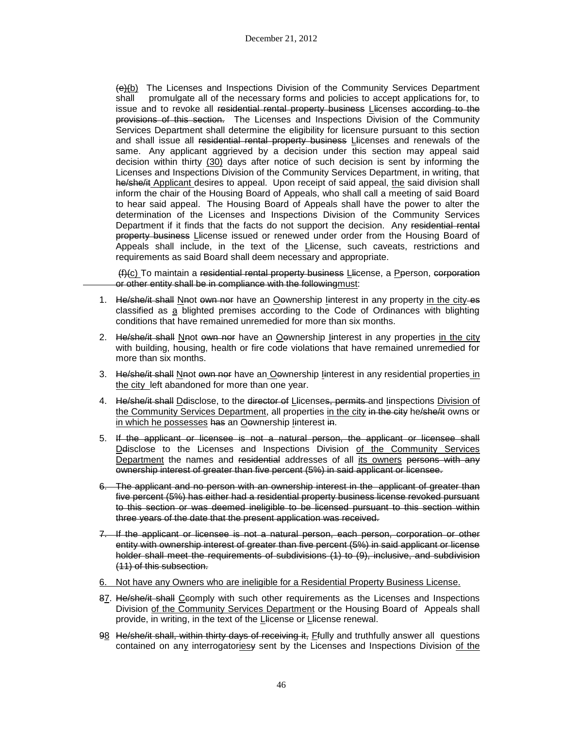(e)(b) The Licenses and Inspections Division of the Community Services Department shall promulgate all of the necessary forms and policies to accept applications for, to issue and to revoke all residential rental property business Llicenses according to the provisions of this section. The Licenses and Inspections Division of the Community Services Department shall determine the eligibility for licensure pursuant to this section and shall issue all residential rental property business Llicenses and renewals of the same. Any applicant aggrieved by a decision under this section may appeal said decision within thirty (30) days after notice of such decision is sent by informing the Licenses and Inspections Division of the Community Services Department, in writing, that he/she/it Applicant desires to appeal. Upon receipt of said appeal, the said division shall inform the chair of the Housing Board of Appeals, who shall call a meeting of said Board to hear said appeal. The Housing Board of Appeals shall have the power to alter the determination of the Licenses and Inspections Division of the Community Services Department if it finds that the facts do not support the decision. Any residential rental property business Llicense issued or renewed under order from the Housing Board of Appeals shall include, in the text of the Llicense, such caveats, restrictions and requirements as said Board shall deem necessary and appropriate.

(f)(c) To maintain a residential rental property business Llicense, a Pperson, corporation or other entity shall be in compliance with the followingmust:

- 1. He/she/it shall Nnot own nor have an Oownership linterest in any property in the city-es classified as a blighted premises according to the Code of Ordinances with blighting conditions that have remained unremedied for more than six months.
- 2. He/she/it shall Nnot own nor have an Oownership linterest in any properties in the city with building, housing, health or fire code violations that have remained unremedied for more than six months.
- 3. He/she/it shall Nnot own nor have an Oownership linterest in any residential properties in the city left abandoned for more than one year.
- 4. He/she/it shall Delisclose, to the director of Llicenses, permits and linspections Division of the Community Services Department, all properties in the city in the city he/she/it owns or in which he possesses has an Oewnership linterest in.
- 5. If the applicant or licensee is not a natural person, the applicant or licensee shall Ddisclose to the Licenses and Inspections Division of the Community Services Department the names and residential addresses of all its owners persons with any ownership interest of greater than five percent (5%) in said applicant or licensee.
- 6. The applicant and no person with an ownership interest in the applicant of greater than five percent (5%) has either had a residential property business license revoked pursuant to this section or was deemed ineligible to be licensed pursuant to this section within three years of the date that the present application was received.
- 7. If the applicant or licensee is not a natural person, each person, corporation or other entity with ownership interest of greater than five percent (5%) in said applicant or license holder shall meet the requirements of subdivisions (1) to (9), inclusive, and subdivision (11) of this subsection.
- 6. Not have any Owners who are ineligible for a Residential Property Business License.
- 87. He/she/it shall Ceomply with such other requirements as the Licenses and Inspections Division of the Community Services Department or the Housing Board of Appeals shall provide, in writing, in the text of the Llicense or Llicense renewal.
- 98 He/she/it shall, within thirty days of receiving it, Ffully and truthfully answer all questions contained on any interrogatoriesy sent by the Licenses and Inspections Division of the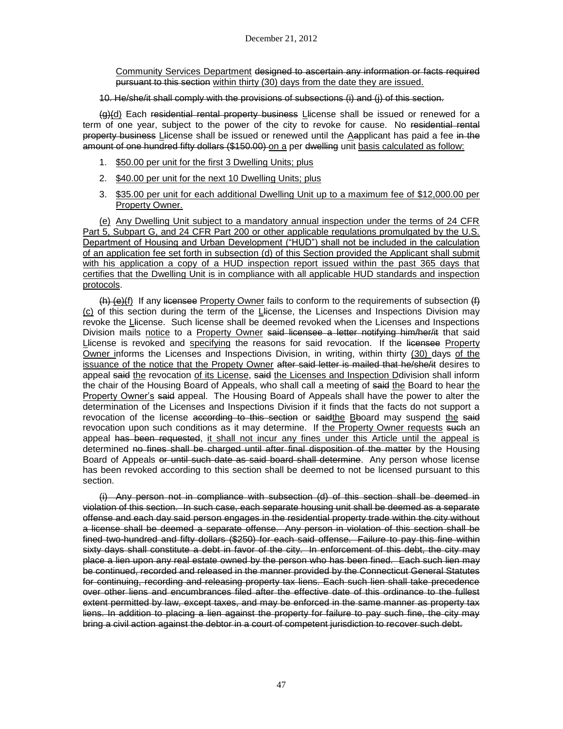Community Services Department designed to ascertain any information or facts required pursuant to this section within thirty (30) days from the date they are issued.

10. He/she/it shall comply with the provisions of subsections (i) and (j) of this section.

(a)(d) Each residential rental property business Llicense shall be issued or renewed for a term of one year, subject to the power of the city to revoke for cause. No residential rental property business Llicense shall be issued or renewed until the Aapplicant has paid a fee in the amount of one hundred fifty dollars (\$150.00) on a per dwelling unit basis calculated as follow:

- 1. \$50.00 per unit for the first 3 Dwelling Units; plus
- 2. \$40.00 per unit for the next 10 Dwelling Units; plus
- 3. \$35.00 per unit for each additional Dwelling Unit up to a maximum fee of \$12,000.00 per Property Owner.

(e) Any Dwelling Unit subject to a mandatory annual inspection under the terms of 24 CFR Part 5, Subpart G, and 24 CFR Part 200 or other applicable regulations promulgated by the U.S. Department of Housing and Urban Development ("HUD") shall not be included in the calculation of an application fee set forth in subsection (d) of this Section provided the Applicant shall submit with his application a copy of a HUD inspection report issued within the past 365 days that certifies that the Dwelling Unit is in compliance with all applicable HUD standards and inspection protocols.

 $(h)$  (e)(f) If any licensee Property Owner fails to conform to the requirements of subsection  $(h)$ (c) of this section during the term of the Llicense, the Licenses and Inspections Division may revoke the Llicense. Such license shall be deemed revoked when the Licenses and Inspections Division mails notice to a Property Owner said licensee a letter notifying him/her/it that said Llicense is revoked and specifying the reasons for said revocation. If the licensee Property Owner informs the Licenses and Inspections Division, in writing, within thirty (30) days of the issuance of the notice that the Propety Owner after said letter is mailed that he/she/it desires to appeal said the revocation of its License, said the Licenses and Inspection Ddivision shall inform the chair of the Housing Board of Appeals, who shall call a meeting of said the Board to hear the Property Owner's said appeal. The Housing Board of Appeals shall have the power to alter the determination of the Licenses and Inspections Division if it finds that the facts do not support a revocation of the license according to this section or said the Bboard may suspend the said revocation upon such conditions as it may determine. If the Property Owner requests such an appeal has been requested, it shall not incur any fines under this Article until the appeal is determined no fines shall be charged until after final disposition of the matter by the Housing Board of Appeals or until such date as said board shall determine. Any person whose license has been revoked according to this section shall be deemed to not be licensed pursuant to this section.

(i) Any person not in compliance with subsection (d) of this section shall be deemed in violation of this section. In such case, each separate housing unit shall be deemed as a separate offense and each day said person engages in the residential property trade within the city without a license shall be deemed a separate offense. Any person in violation of this section shall be fined two-hundred and fifty dollars (\$250) for each said offense. Failure to pay this fine within sixty days shall constitute a debt in favor of the city. In enforcement of this debt, the city may place a lien upon any real estate owned by the person who has been fined. Each such lien may be continued, recorded and released in the manner provided by the Connecticut General Statutes for continuing, recording and releasing property tax liens. Each such lien shall take precedence over other liens and encumbrances filed after the effective date of this ordinance to the fullest extent permitted by law, except taxes, and may be enforced in the same manner as property tax liens. In addition to placing a lien against the property for failure to pay such fine, the city may bring a civil action against the debtor in a court of competent jurisdiction to recover such debt.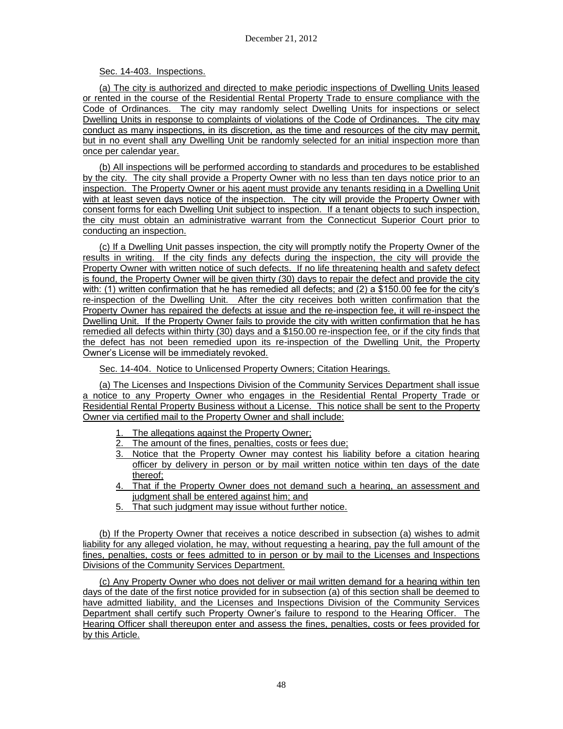## Sec. 14-403. Inspections.

(a) The city is authorized and directed to make periodic inspections of Dwelling Units leased or rented in the course of the Residential Rental Property Trade to ensure compliance with the Code of Ordinances. The city may randomly select Dwelling Units for inspections or select Dwelling Units in response to complaints of violations of the Code of Ordinances. The city may conduct as many inspections, in its discretion, as the time and resources of the city may permit, but in no event shall any Dwelling Unit be randomly selected for an initial inspection more than once per calendar year.

(b) All inspections will be performed according to standards and procedures to be established by the city. The city shall provide a Property Owner with no less than ten days notice prior to an inspection. The Property Owner or his agent must provide any tenants residing in a Dwelling Unit with at least seven days notice of the inspection. The city will provide the Property Owner with consent forms for each Dwelling Unit subject to inspection. If a tenant objects to such inspection, the city must obtain an administrative warrant from the Connecticut Superior Court prior to conducting an inspection.

(c) If a Dwelling Unit passes inspection, the city will promptly notify the Property Owner of the results in writing. If the city finds any defects during the inspection, the city will provide the Property Owner with written notice of such defects. If no life threatening health and safety defect is found, the Property Owner will be given thirty (30) days to repair the defect and provide the city with: (1) written confirmation that he has remedied all defects; and (2) a \$150.00 fee for the city's re-inspection of the Dwelling Unit. After the city receives both written confirmation that the Property Owner has repaired the defects at issue and the re-inspection fee, it will re-inspect the Dwelling Unit. If the Property Owner fails to provide the city with written confirmation that he has remedied all defects within thirty (30) days and a \$150.00 re-inspection fee, or if the city finds that the defect has not been remedied upon its re-inspection of the Dwelling Unit, the Property Owner's License will be immediately revoked.

Sec. 14-404. Notice to Unlicensed Property Owners; Citation Hearings.

(a) The Licenses and Inspections Division of the Community Services Department shall issue a notice to any Property Owner who engages in the Residential Rental Property Trade or Residential Rental Property Business without a License. This notice shall be sent to the Property Owner via certified mail to the Property Owner and shall include:

- The allegations against the Property Owner:
- The amount of the fines, penalties, costs or fees due;
- 3. Notice that the Property Owner may contest his liability before a citation hearing officer by delivery in person or by mail written notice within ten days of the date thereof;
- 4. That if the Property Owner does not demand such a hearing, an assessment and judgment shall be entered against him; and
- 5. That such judgment may issue without further notice.

(b) If the Property Owner that receives a notice described in subsection (a) wishes to admit liability for any alleged violation, he may, without requesting a hearing, pay the full amount of the fines, penalties, costs or fees admitted to in person or by mail to the Licenses and Inspections Divisions of the Community Services Department.

(c) Any Property Owner who does not deliver or mail written demand for a hearing within ten days of the date of the first notice provided for in subsection (a) of this section shall be deemed to have admitted liability, and the Licenses and Inspections Division of the Community Services Department shall certify such Property Owner's failure to respond to the Hearing Officer. The Hearing Officer shall thereupon enter and assess the fines, penalties, costs or fees provided for by this Article.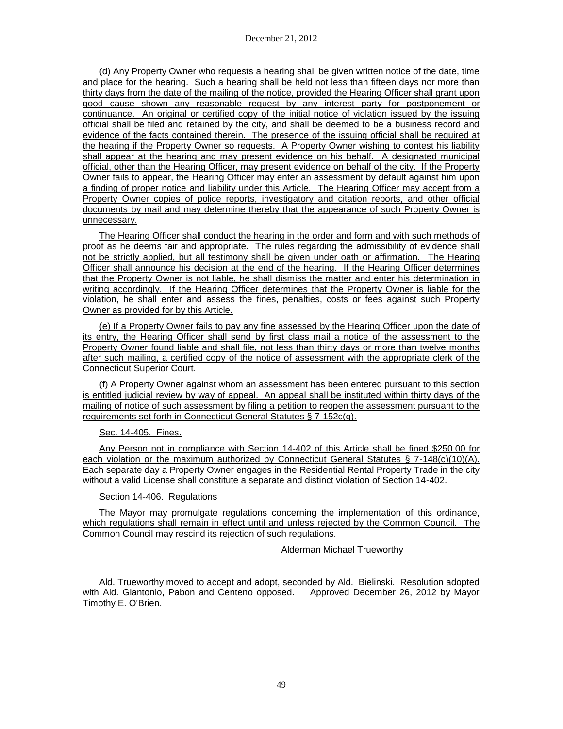(d) Any Property Owner who requests a hearing shall be given written notice of the date, time and place for the hearing. Such a hearing shall be held not less than fifteen days nor more than thirty days from the date of the mailing of the notice, provided the Hearing Officer shall grant upon good cause shown any reasonable request by any interest party for postponement or continuance. An original or certified copy of the initial notice of violation issued by the issuing official shall be filed and retained by the city, and shall be deemed to be a business record and evidence of the facts contained therein. The presence of the issuing official shall be required at the hearing if the Property Owner so requests. A Property Owner wishing to contest his liability shall appear at the hearing and may present evidence on his behalf. A designated municipal official, other than the Hearing Officer, may present evidence on behalf of the city. If the Property Owner fails to appear, the Hearing Officer may enter an assessment by default against him upon a finding of proper notice and liability under this Article. The Hearing Officer may accept from a Property Owner copies of police reports, investigatory and citation reports, and other official documents by mail and may determine thereby that the appearance of such Property Owner is unnecessary.

The Hearing Officer shall conduct the hearing in the order and form and with such methods of proof as he deems fair and appropriate. The rules regarding the admissibility of evidence shall not be strictly applied, but all testimony shall be given under oath or affirmation. The Hearing Officer shall announce his decision at the end of the hearing. If the Hearing Officer determines that the Property Owner is not liable, he shall dismiss the matter and enter his determination in writing accordingly. If the Hearing Officer determines that the Property Owner is liable for the violation, he shall enter and assess the fines, penalties, costs or fees against such Property Owner as provided for by this Article.

(e) If a Property Owner fails to pay any fine assessed by the Hearing Officer upon the date of its entry, the Hearing Officer shall send by first class mail a notice of the assessment to the Property Owner found liable and shall file, not less than thirty days or more than twelve months after such mailing, a certified copy of the notice of assessment with the appropriate clerk of the Connecticut Superior Court.

(f) A Property Owner against whom an assessment has been entered pursuant to this section is entitled judicial review by way of appeal. An appeal shall be instituted within thirty days of the mailing of notice of such assessment by filing a petition to reopen the assessment pursuant to the requirements set forth in Connecticut General Statutes § 7-152c(g).

## Sec. 14-405. Fines.

Any Person not in compliance with Section 14-402 of this Article shall be fined \$250.00 for each violation or the maximum authorized by Connecticut General Statutes § 7-148(c)(10)(A). Each separate day a Property Owner engages in the Residential Rental Property Trade in the city without a valid License shall constitute a separate and distinct violation of Section 14-402.

## Section 14-406. Regulations

The Mayor may promulgate regulations concerning the implementation of this ordinance, which regulations shall remain in effect until and unless rejected by the Common Council. The Common Council may rescind its rejection of such regulations.

## Alderman Michael Trueworthy

Ald. Trueworthy moved to accept and adopt, seconded by Ald. Bielinski. Resolution adopted with Ald. Giantonio, Pabon and Centeno opposed. Approved December 26, 2012 by Mayor Timothy E. O'Brien.